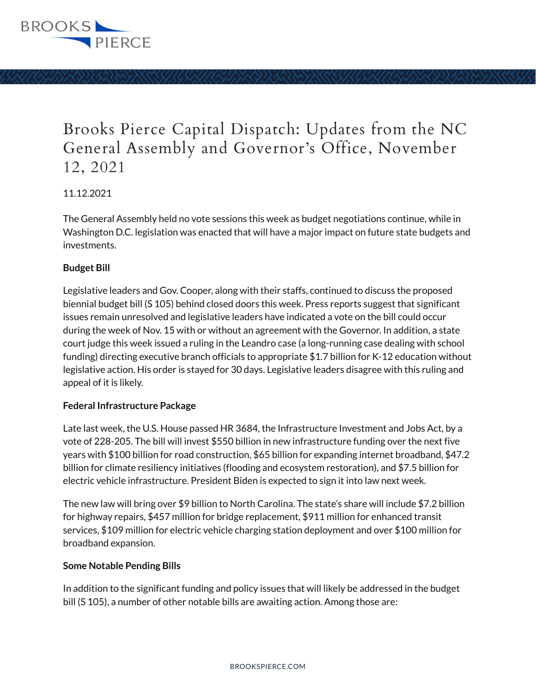

# Brooks Pierce Capital Dispatch: Updates from the NC General Assembly and Governor's Office, November 12, 2021

### 11.12.2021

The General Assembly held no vote sessions this week as budget negotiations continue, while in Washington D.C. legislation was enacted that will have a major impact on future state budgets and investments.

#### **Budget Bill**

Legislative leaders and Gov. Cooper, along with their staffs, continued to discuss the proposed biennial budget bill (S 105) behind closed doors this week. Press reports suggest that significant issues remain unresolved and legislative leaders have indicated a vote on the bill could occur during the week of Nov. 15 with or without an agreement with the Governor. In addition, a state court judge this week issued a ruling in the Leandro case (a long-running case dealing with school funding) directing executive branch officials to appropriate \$1.7 billion for K-12 education without legislative action. His order is stayed for 30 days. Legislative leaders disagree with this ruling and appeal of it is likely.

#### **Federal Infrastructure Package**

Late last week, the U.S. House passed HR 3684, the Infrastructure Investment and Jobs Act, by a vote of 228-205. The bill will invest \$550 billion in new infrastructure funding over the next five years with \$100 billion for road construction, \$65 billion for expanding internet broadband, \$47.2 billion for climate resiliency initiatives (flooding and ecosystem restoration), and \$7.5 billion for electric vehicle infrastructure. President Biden is expected to sign it into law next week.

The new law will bring over \$9 billion to North Carolina. The state's share will include \$7.2 billion for highway repairs, \$457 million for bridge replacement, \$911 million for enhanced transit services, \$109 million for electric vehicle charging station deployment and over \$100 million for broadband expansion.

#### **Some Notable Pending Bills**

In addition to the significant funding and policy issues that will likely be addressed in the budget bill (S 105), a number of other notable bills are awaiting action. Among those are: